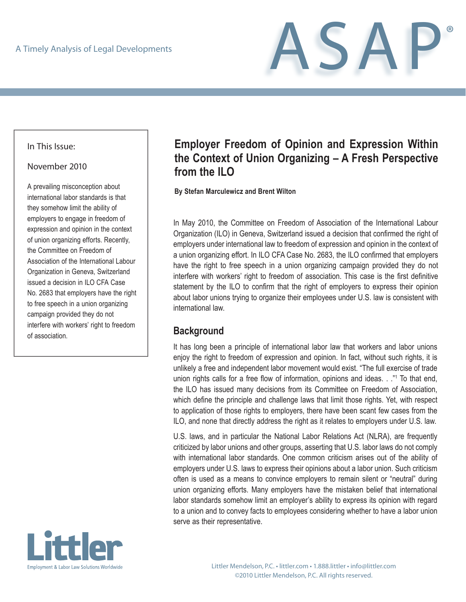ASAP®

#### In This Issue:

#### November 2010

A prevailing misconception about international labor standards is that they somehow limit the ability of employers to engage in freedom of expression and opinion in the context of union organizing efforts. Recently, the Committee on Freedom of Association of the International Labour Organization in Geneva, Switzerland issued a decision in ILO CFA Case No. 2683 that employers have the right to free speech in a union organizing campaign provided they do not interfere with workers' right to freedom of association.



# **Employer Freedom of Opinion and Expression Within the Context of Union Organizing – A Fresh Perspective from the ILO**

**By Stefan Marculewicz and Brent Wilton**

In May 2010, the Committee on Freedom of Association of the International Labour Organization (ILO) in Geneva, Switzerland issued a decision that confirmed the right of employers under international law to freedom of expression and opinion in the context of a union organizing effort. In ILO CFA Case No. 2683, the ILO confirmed that employers have the right to free speech in a union organizing campaign provided they do not interfere with workers' right to freedom of association. This case is the first definitive statement by the ILO to confirm that the right of employers to express their opinion about labor unions trying to organize their employees under U.S. law is consistent with international law.

### **Background**

It has long been a principle of international labor law that workers and labor unions enjoy the right to freedom of expression and opinion. In fact, without such rights, it is unlikely a free and independent labor movement would exist. "The full exercise of trade union rights calls for a free flow of information, opinions and ideas. . ."<sup>1</sup> To that end, the ILO has issued many decisions from its Committee on Freedom of Association, which define the principle and challenge laws that limit those rights. Yet, with respect to application of those rights to employers, there have been scant few cases from the ILO, and none that directly address the right as it relates to employers under U.S. law.

U.S. laws, and in particular the National Labor Relations Act (NLRA), are frequently criticized by labor unions and other groups, asserting that U.S. labor laws do not comply with international labor standards. One common criticism arises out of the ability of employers under U.S. laws to express their opinions about a labor union. Such criticism often is used as a means to convince employers to remain silent or "neutral" during union organizing efforts. Many employers have the mistaken belief that international labor standards somehow limit an employer's ability to express its opinion with regard to a union and to convey facts to employees considering whether to have a labor union serve as their representative.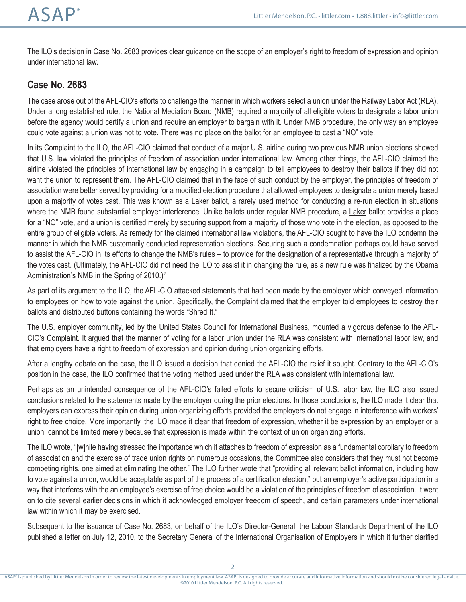The ILO's decision in Case No. 2683 provides clear guidance on the scope of an employer's right to freedom of expression and opinion under international law.

## **Case No. 2683**

The case arose out of the AFL-CIO's efforts to challenge the manner in which workers select a union under the Railway Labor Act (RLA). Under a long established rule, the National Mediation Board (NMB) required a majority of all eligible voters to designate a labor union before the agency would certify a union and require an employer to bargain with it. Under NMB procedure, the only way an employee could vote against a union was not to vote. There was no place on the ballot for an employee to cast a "NO" vote.

In its Complaint to the ILO, the AFL-CIO claimed that conduct of a major U.S. airline during two previous NMB union elections showed that U.S. law violated the principles of freedom of association under international law. Among other things, the AFL-CIO claimed the airline violated the principles of international law by engaging in a campaign to tell employees to destroy their ballots if they did not want the union to represent them. The AFL-CIO claimed that in the face of such conduct by the employer, the principles of freedom of association were better served by providing for a modified election procedure that allowed employees to designate a union merely based upon a majority of votes cast. This was known as a Laker ballot, a rarely used method for conducting a re-run election in situations where the NMB found substantial employer interference. Unlike ballots under regular NMB procedure, a Laker ballot provides a place for a "NO" vote, and a union is certified merely by securing support from a majority of those who vote in the election, as opposed to the entire group of eligible voters. As remedy for the claimed international law violations, the AFL-CIO sought to have the ILO condemn the manner in which the NMB customarily conducted representation elections. Securing such a condemnation perhaps could have served to assist the AFL-CIO in its efforts to change the NMB's rules – to provide for the designation of a representative through a majority of the votes cast. (Ultimately, the AFL-CIO did not need the ILO to assist it in changing the rule, as a new rule was finalized by the Obama Administration's NMB in the Spring of 2010.)2

As part of its argument to the ILO, the AFL-CIO attacked statements that had been made by the employer which conveyed information to employees on how to vote against the union. Specifically, the Complaint claimed that the employer told employees to destroy their ballots and distributed buttons containing the words "Shred It."

The U.S. employer community, led by the United States Council for International Business, mounted a vigorous defense to the AFL-CIO's Complaint. It argued that the manner of voting for a labor union under the RLA was consistent with international labor law, and that employers have a right to freedom of expression and opinion during union organizing efforts.

After a lengthy debate on the case, the ILO issued a decision that denied the AFL-CIO the relief it sought. Contrary to the AFL-CIO's position in the case, the ILO confirmed that the voting method used under the RLA was consistent with international law.

Perhaps as an unintended consequence of the AFL-CIO's failed efforts to secure criticism of U.S. labor law, the ILO also issued conclusions related to the statements made by the employer during the prior elections. In those conclusions, the ILO made it clear that employers can express their opinion during union organizing efforts provided the employers do not engage in interference with workers' right to free choice. More importantly, the ILO made it clear that freedom of expression, whether it be expression by an employer or a union, cannot be limited merely because that expression is made within the context of union organizing efforts.

The ILO wrote, "[w]hile having stressed the importance which it attaches to freedom of expression as a fundamental corollary to freedom of association and the exercise of trade union rights on numerous occasions, the Committee also considers that they must not become competing rights, one aimed at eliminating the other." The ILO further wrote that "providing all relevant ballot information, including how to vote against a union, would be acceptable as part of the process of a certification election," but an employer's active participation in a way that interferes with the an employee's exercise of free choice would be a violation of the principles of freedom of association. It went on to cite several earlier decisions in which it acknowledged employer freedom of speech, and certain parameters under international law within which it may be exercised.

Subsequent to the issuance of Case No. 2683, on behalf of the ILO's Director-General, the Labour Standards Department of the ILO published a letter on July 12, 2010, to the Secretary General of the International Organisation of Employers in which it further clarified